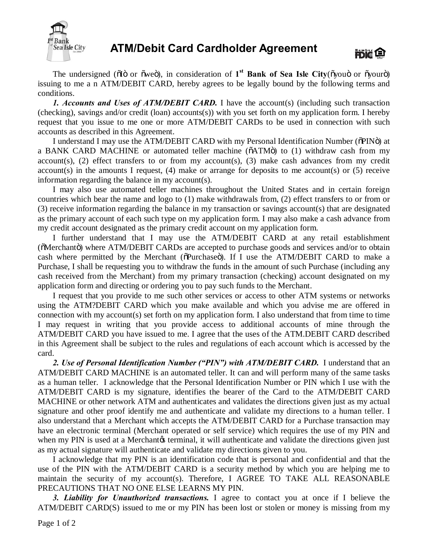

## **ATM/Debit Card Cardholder Agreement**



The undersigned ( $\tilde{O}$ I" or  $\tilde{O}$ " or  $\tilde{O}$ "), in consideration of 1<sup>st</sup> Bank of Sea Isle City( $\tilde{O}$ you $\tilde{O}$ ") issuing to me a n ATM/DEBIT CARD, hereby agrees to be legally bound by the following terms and conditions.

*1. Accounts and Uses of ATM/DEBIT CARD.* I have the account(s) (including such transaction (checking), savings and/or credit (loan) accounts(s)) with you set forth on my application form. I hereby request that you issue to me one or more ATM/DEBIT CARDs to be used in connection with such accounts as described in this Agreement.

I understand I may use the ATM/DEBIT CARD with my Personal Identification Number ( $\delta$ PIN $\ddot{o}$ ) at a BANK CARD MACHINE or automated teller machine  $(õATM\ddot{o})$  to  $(1)$  withdraw cash from my account(s), (2) effect transfers to or from my account(s), (3) make cash advances from my credit account(s) in the amounts I request, (4) make or arrange for deposits to me account(s) or (5) receive information regarding the balance in my account(s).

I may also use automated teller machines throughout the United States and in certain foreign countries which bear the name and logo to (1) make withdrawals from, (2) effect transfers to or from or (3) receive information regarding the balance in my transaction or savings account(s) that are designated as the primary account of each such type on my application form. I may also make a cash advance from my credit account designated as the primary credit account on my application form.

I further understand that I may use the ATM/DEBIT CARD at any retail establishment ( $\tilde{\text{M}}$ erchant $\ddot{\text{o}}$ ) where ATM/DEBIT CARDs are accepted to purchase goods and services and/or to obtain cash where permitted by the Merchant ( $\delta$ Purchase $\ddot{o}$ ). If I use the ATM/DEBIT CARD to make a Purchase, I shall be requesting you to withdraw the funds in the amount of such Purchase (including any cash received from the Merchant) from my primary transaction (checking) account designated on my application form and directing or ordering you to pay such funds to the Merchant.

I request that you provide to me such other services or access to other ATM systems or networks using the ATM?DEBIT CARD which you make available and which you advise me are offered in connection with my account(s) set forth on my application form. I also understand that from time to time I may request in writing that you provide access to additional accounts of mine through the ATM/DEBIT CARD you have issued to me. I agree that the uses of the ATM.DEBIT CARD described in this Agreement shall be subject to the rules and regulations of each account which is accessed by the card.

*2. Use of Personal Identification Number ("PIN") with ATM/DEBIT CARD.* I understand that an ATM/DEBIT CARD MACHINE is an automated teller. It can and will perform many of the same tasks as a human teller. I acknowledge that the Personal Identification Number or PIN which I use with the ATM/DEBIT CARD is my signature, identifies the bearer of the Card to the ATM/DEBIT CARD MACHINE or other network ATM and authenticates and validates the directions given just as my actual signature and other proof identify me and authenticate and validate my directions to a human teller. I also understand that a Merchant which accepts the ATM/DEBIT CARD for a Purchase transaction may have an electronic terminal (Merchant operated or self service) which requires the use of my PIN and when my PIN is used at a Merchant terminal, it will authenticate and validate the directions given just as my actual signature will authenticate and validate my directions given to you.

I acknowledge that my PIN is an identification code that is personal and confidential and that the use of the PIN with the ATM/DEBIT CARD is a security method by which you are helping me to maintain the security of my account(s). Therefore, I AGREE TO TAKE ALL REASONABLE PRECAUTIONS THAT NO ONE ELSE LEARNS MY PIN.

*3. Liability for Unauthorized transactions.* I agree to contact you at once if I believe the ATM/DEBIT CARD(S) issued to me or my PIN has been lost or stolen or money is missing from my